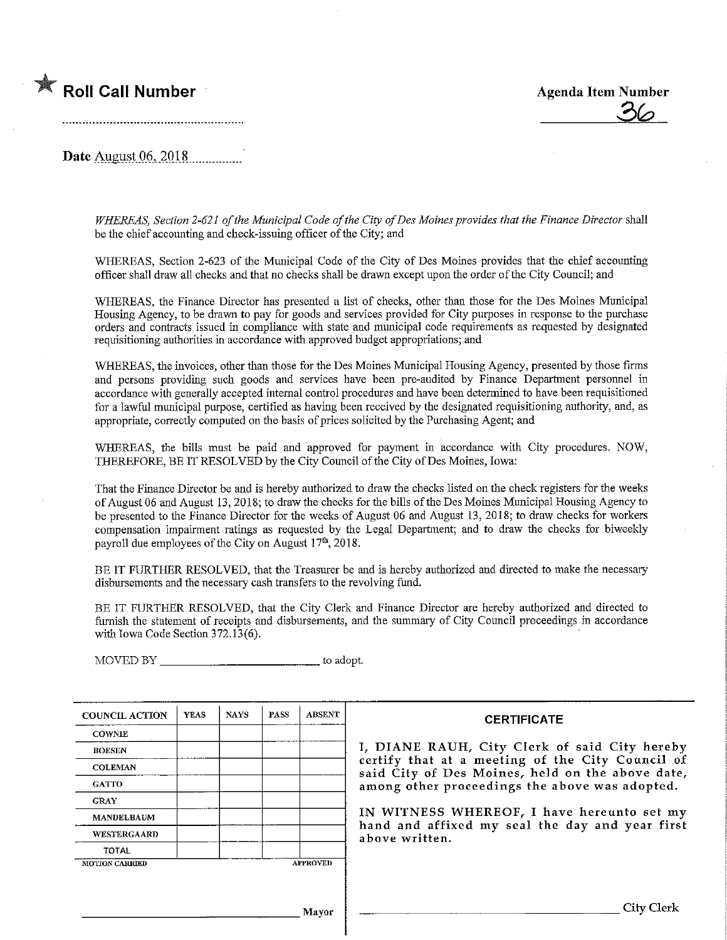



Date August 06, 2018

WHEREAS, Section 2-621 of the Municipal Code of the City of Des Moines provides that the Finance Director shall be the chief accounting and check-issuing officer of the City; and

WHEREAS, Section 2-623 of the Municipal Code of the City of Des Moines provides that the chief accounting officer shall draw all checks and that no checks shall be drawn except upon the order of the City Council; and

WHEREAS, the Finance Director has presented a list of checks, other than those for the Des Moines Municipal Housing Agency, to be drawn to pay for goods and services provided for City purposes in response to the purchase orders and contracts issued in compliance with state and municipal code requirements as requested by designated requisitioning authorities in accordance with approved budget appropriations; and

WHEREAS, the invoices, other than those for the Des Moines Municipal Housing Agency, presented by those firms and persons providing such goods and services have been. pre-audited by Finance Department personnel in accordance with generally accepted internal control procedures and have been determined to have been requisltioned for a lawful municipal purpose, certified as having been received by the designated requisitioning authority, and, as appropriate, correctly computed on the basis of prices solicited by the Purchasmg Agent; and

WHEREAS, the bills must be paid and approved for payment in accordance with City procedures. NOW, THEREFORE, BE IT RESOLVED by the City Council of the City of Des Moines, Iowa:

That the Finance Director be and is hereby authorized to draw the checks listed on the check registers for the weeks of August 06 and August 13, 2018; to draw the checks for the bills of the DesMoines Municipal Housing Agency to be presented to the Finance Director for the weeks of August 06 and August 13, 2018; to draw checks for workers compensation impairment ratings as requested by the Legal Department; and to draw the checks for biweekly payroll due employees of the City on August  $17<sup>th</sup>$ , 2018.

BE IT FURTHER RESOLVED, that the Treasurer be and is hereby authorized and directed to make the necessary disbursements and the necessary cash transfers to fhe revolving fund.

BE IT FURTHER RESOLVED, that the City Clerk and Finance Director are hereby authorized and directed to furnish the statement of receipts and disbursements, and the summary of City Council proceedings in accordance with Iowa Code Section 372.13(6).

MOVED BY to adopt.

| <b>COUNCIL ACTION</b> | <b>YEAS</b> | <b>NAYS</b> | PASS | <b>ABSENT</b>   | <b>CERTIFICATE</b>                                                                                   |  |  |  |  |
|-----------------------|-------------|-------------|------|-----------------|------------------------------------------------------------------------------------------------------|--|--|--|--|
| <b>COWNIE</b>         |             |             |      |                 |                                                                                                      |  |  |  |  |
| <b>BOESEN</b>         |             |             |      |                 | I, DIANE RAUH, City Clerk of said City hereby                                                        |  |  |  |  |
| <b>COLEMAN</b>        |             |             |      |                 | certify that at a meeting of the City Council of<br>said City of Des Moines, held on the above date, |  |  |  |  |
| <b>GATTO</b>          |             |             |      |                 | among other proceedings the above was adopted.                                                       |  |  |  |  |
| <b>GRAY</b>           |             |             |      |                 |                                                                                                      |  |  |  |  |
| <b>MANDELBAUM</b>     |             |             |      |                 | IN WITNESS WHEREOF, I have hereunto set my                                                           |  |  |  |  |
| WESTERGAARD           |             |             |      |                 | hand and affixed my seal the day and year first<br>above written.                                    |  |  |  |  |
| <b>TOTAL</b>          |             |             |      |                 |                                                                                                      |  |  |  |  |
| <b>MOTION CARRIED</b> |             |             |      | <b>APPROVED</b> |                                                                                                      |  |  |  |  |
|                       |             |             |      |                 |                                                                                                      |  |  |  |  |
|                       |             |             |      | Mavor           | City Clerk                                                                                           |  |  |  |  |
|                       |             |             |      |                 |                                                                                                      |  |  |  |  |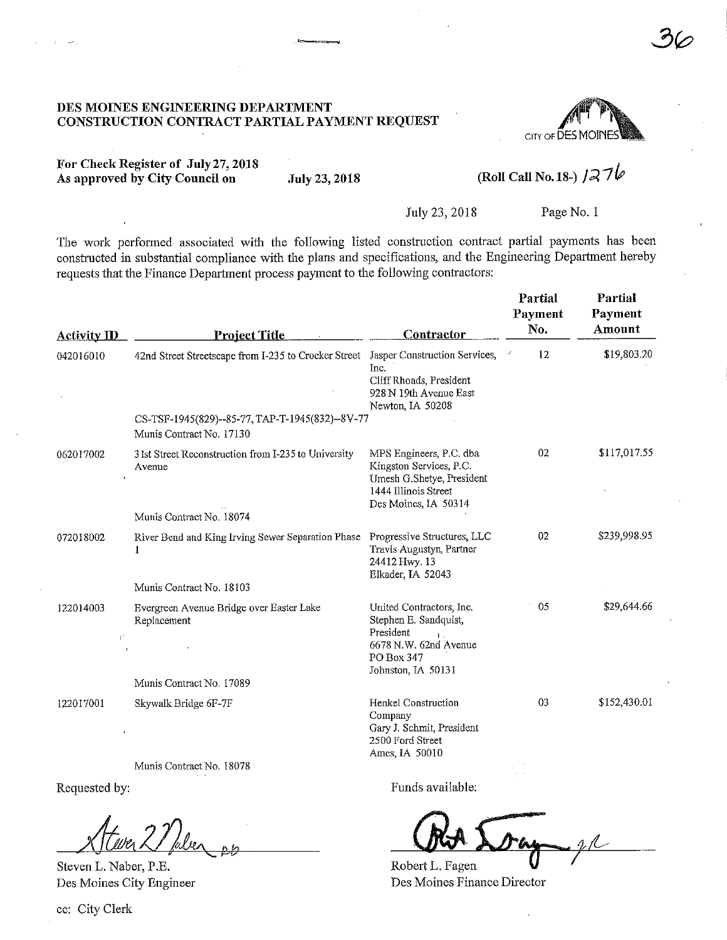#### DES MOINES ENGINEERING DEPARTMENT CONSTRUCTION CONTRACT PARTIAL PAYMENT REQUEST



For Check Register of July 27, 2018 As approved by City Council on July 23, 2018

# (Roll Call No. 18-)  $1276$

July 23,2018 Page No. 1

The work performed associated with the following listed construction contract partial payments has been constructed in substantial compliance with the plans and specifications, and the Engineering Department hereby requests that the Finance Department process payment to the following contractors:

| <b>Activity ID</b>          | <b>Project Title</b>                                                               | <b>Contractor</b>                                                                                                               | Partial<br>Payment<br>No. | Partial<br>Payment<br>Amount |
|-----------------------------|------------------------------------------------------------------------------------|---------------------------------------------------------------------------------------------------------------------------------|---------------------------|------------------------------|
| 042016010                   | 42nd Street Streetscape from I-235 to Crocker Street Jasper Construction Services, | Inc.<br>Cliff Rhoads, President<br>928 N 19th Avenue East<br>Newton, IA 50208                                                   | 12                        | \$19,803.20                  |
|                             | CS-TSF-1945(829)--85-77, TAP-T-1945(832)--8V-77<br>Munis Contract No. 17130        |                                                                                                                                 |                           |                              |
| 062017002                   | 3 lst Street Reconstruction from I-235 to University<br>Avenue                     | MPS Engineers, P.C. dba<br>Kingston Services, P.C.<br>Umesh G.Shetye, President<br>1444 Illinois Street<br>Des Moines, IA 50314 | 02                        | \$117,017.55                 |
|                             | Munis Contract No. 18074                                                           |                                                                                                                                 |                           |                              |
| 072018002                   | River Bend and King Irving Sewer Separation Phase<br>-1                            | Progressive Structures, LLC<br>Travis Augustyn, Partner<br>24412 Hwy. 13<br>Elkader, IA 52043                                   | 02                        | \$239,998.95                 |
|                             | Munis Contract No. 18103                                                           |                                                                                                                                 |                           |                              |
| 122014003<br>$\mathbb{L}^*$ | Evergreen Avenue Bridge over Easter Lake<br>Replacement                            | United Contractors, Inc.<br>Stephen E. Sandquist,<br>President<br>6678 N.W. 62nd Avenue<br>PO Box 347<br>Johnston, IA 50131     | 05                        | \$29,644.66                  |
|                             | Munis Contract No. 17089                                                           |                                                                                                                                 |                           |                              |
| 122017001                   | Skywalk Bridge 6F-7F                                                               | Henkel Construction<br>Company<br>Gary J. Schmit, President<br>2500 Ford Street<br>Ames, IA 50010                               | 03                        | \$152,430.01                 |

Munis Contract No. 18078

Requested by:

er 1 feber 06  $\blacktriangle$ 

Steven L. Naber, P.E. Des Moines City Engineer

Funds available:

Robert L. Fagen. Des Moines Finance Director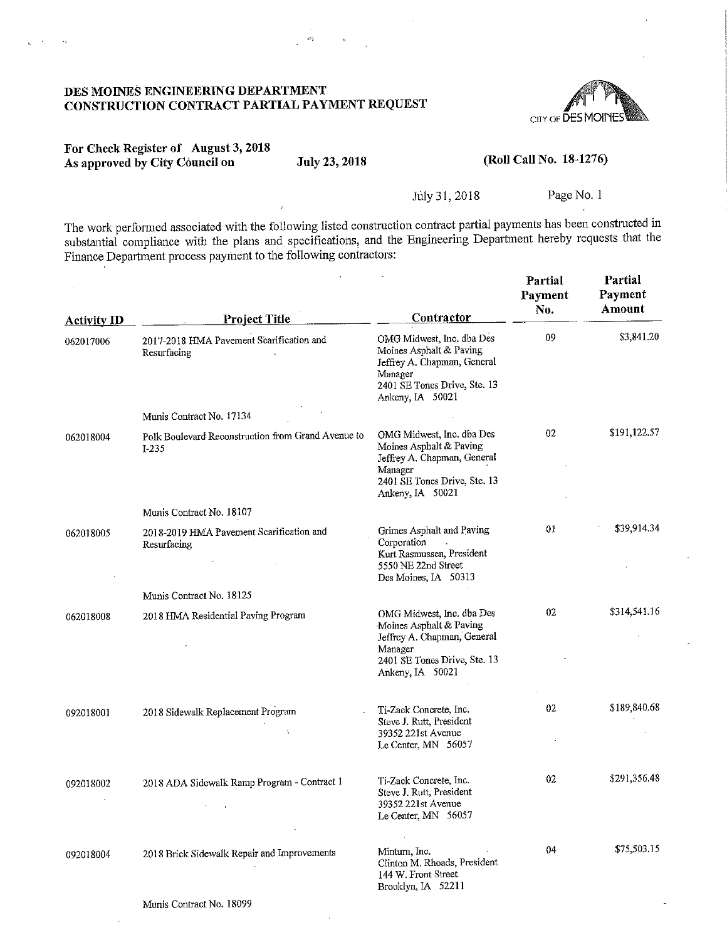#### DES MOINES ENGINEERING DEPARTMENT CONSTRUCTION CONTRACT PARTIAL PAYMENT REQUEST



## For Check Register of August 3,2018 As approved by City Council on July 23, 2018

l.,  $\mathcal{A}_1$ 

#### (Roll Call No. 18-1276)

#### July 31, 2018 Page No. 1

The work performed associated with the following listed construction contract partial payments has been constructed in substantial compliance with the plans and specifications, and the Engineering Department hereby requests that the Finance Department process payment to the followmg contractors:

 $\overline{a}$ 

| <b>Activity ID</b> | <b>Project Title</b>                                        | Contractor                                                                                                                                         | Partial<br>Payment<br>No. | Partial<br>Payment<br>Amount |
|--------------------|-------------------------------------------------------------|----------------------------------------------------------------------------------------------------------------------------------------------------|---------------------------|------------------------------|
| 062017006          | 2017-2018 HMA Pavement Scarification and<br>Resurfacing     | OMG Midwest, Inc. dba Des<br>Moines Asphalt & Paving<br>Jeffrey A. Chapman, General<br>Manager<br>2401 SE Tones Drive, Ste. 13<br>Ankeny, IA 50021 | 09                        | \$3,841.20                   |
|                    | Munis Contract No. 17134                                    |                                                                                                                                                    |                           |                              |
| 062018004          | Polk Boulevard Reconstruction from Grand Avenue to<br>I-235 | OMG Midwest, Inc. dba Des<br>Moines Asphalt & Paving<br>Jeffrey A. Chapman, General<br>Manager<br>2401 SE Tones Drive, Ste. 13<br>Ankeny, IA 50021 | 02                        | \$191,122.57                 |
|                    | Munis Contract No. 18107                                    |                                                                                                                                                    |                           |                              |
| 062018005          | 2018-2019 HMA Pavement Scarification and<br>Resurfacing     | Grimes Asphalt and Paving<br>Corporation<br>Kurt Rasmussen, President<br>5550 NE 22nd Street<br>Des Moines, IA 50313                               | 01                        | \$39,914.34                  |
|                    | Munis Contract No. 18125                                    |                                                                                                                                                    |                           |                              |
| 062018008          | 2018 HMA Residential Paving Program                         | OMG Midwest, Inc. dba Des<br>Moines Asphalt & Paving<br>Jeffrey A. Chapman, General<br>Manager<br>2401 SE Tones Drive, Ste. 13<br>Ankeny, IA 50021 | 02                        | \$314,541.16                 |
| 092018001          | 2018 Sidewalk Replacement Program<br>÷                      | Ti-Zack Concrete, Inc.<br>Steve J. Rutt, President<br>39352 221st Avenue<br>Le Center, MN 56057                                                    | 02                        | \$189,840.68                 |
| 092018002          | 2018 ADA Sidewalk Ramp Program - Contract 1                 | Ti-Zack Concrete, Inc.<br>Steve J. Rutt, President<br>39352 221st Avenue<br>Le Center, MN 56057                                                    | 02                        | \$291,356.48                 |
| 092018004          | 2018 Brick Sidewalk Repair and Improvements                 | Minturn, Inc.<br>Clinton M. Rhoads, President<br>144 W. Front Street<br>Brooklyn, IA 52211                                                         | 04                        | \$75,503.15                  |
|                    | Munis Contract No. 18099                                    |                                                                                                                                                    |                           |                              |